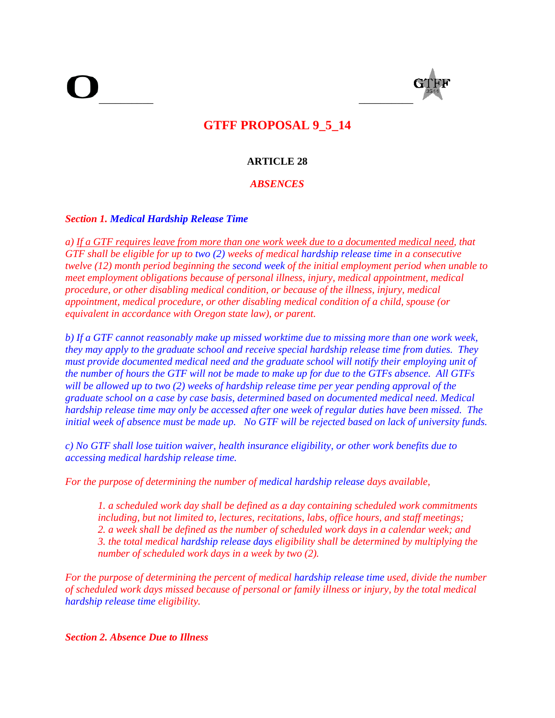$\overline{\phantom{a}}$  , and the contract of the contract of the contract of the contract of the contract of the contract of the contract of the contract of the contract of the contract of the contract of the contract of the contrac



# **GTFF PROPOSAL 9\_5\_14**

# **ARTICLE 28**

# *ABSENCES*

## *Section 1. Medical Hardship Release Time*

*a) If a GTF requires leave from more than one work week due to a documented medical need, that GTF shall be eligible for up to two (2) weeks of medical hardship release time in a consecutive twelve (12) month period beginning the second week of the initial employment period when unable to meet employment obligations because of personal illness, injury, medical appointment, medical procedure, or other disabling medical condition, or because of the illness, injury, medical appointment, medical procedure, or other disabling medical condition of a child, spouse (or equivalent in accordance with Oregon state law), or parent.* 

*b) If a GTF cannot reasonably make up missed worktime due to missing more than one work week, they may apply to the graduate school and receive special hardship release time from duties. They must provide documented medical need and the graduate school will notify their employing unit of the number of hours the GTF will not be made to make up for due to the GTFs absence. All GTFs will be allowed up to two (2) weeks of hardship release time per year pending approval of the graduate school on a case by case basis, determined based on documented medical need. Medical hardship release time may only be accessed after one week of regular duties have been missed. The initial week of absence must be made up. No GTF will be rejected based on lack of university funds.* 

*c) No GTF shall lose tuition waiver, health insurance eligibility, or other work benefits due to accessing medical hardship release time.* 

*For the purpose of determining the number of medical hardship release days available,* 

*1. a scheduled work day shall be defined as a day containing scheduled work commitments including, but not limited to, lectures, recitations, labs, office hours, and staff meetings; 2. a week shall be defined as the number of scheduled work days in a calendar week; and 3. the total medical hardship release days eligibility shall be determined by multiplying the number of scheduled work days in a week by two (2).* 

*For the purpose of determining the percent of medical hardship release time used, divide the number of scheduled work days missed because of personal or family illness or injury, by the total medical hardship release time eligibility.* 

*Section 2. Absence Due to Illness*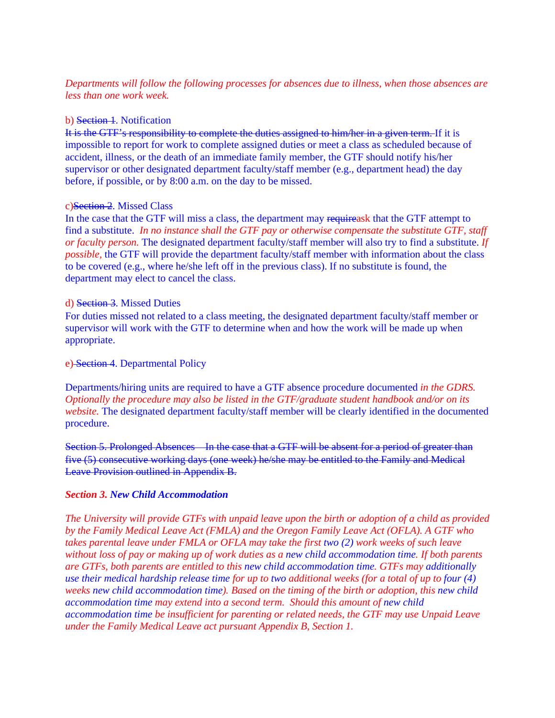# *Departments will follow the following processes for absences due to illness, when those absences are less than one work week.*

## b) Section 1. Notification

It is the GTF's responsibility to complete the duties assigned to him/her in a given term. If it is impossible to report for work to complete assigned duties or meet a class as scheduled because of accident, illness, or the death of an immediate family member, the GTF should notify his/her supervisor or other designated department faculty/staff member (e.g., department head) the day before, if possible, or by 8:00 a.m. on the day to be missed.

#### c)Section 2. Missed Class

In the case that the GTF will miss a class, the department may requireask that the GTF attempt to find a substitute. *In no instance shall the GTF pay or otherwise compensate the substitute GTF, staff or faculty person.* The designated department faculty/staff member will also try to find a substitute. *If possible,* the GTF will provide the department faculty/staff member with information about the class to be covered (e.g., where he/she left off in the previous class). If no substitute is found, the department may elect to cancel the class.

#### d) Section 3. Missed Duties

For duties missed not related to a class meeting, the designated department faculty/staff member or supervisor will work with the GTF to determine when and how the work will be made up when appropriate.

## e) Section 4. Departmental Policy

Departments/hiring units are required to have a GTF absence procedure documented *in the GDRS. Optionally the procedure may also be listed in the GTF/graduate student handbook and/or on its website.* The designated department faculty/staff member will be clearly identified in the documented procedure.

Section 5. Prolonged Absences In the case that a GTF will be absent for a period of greater than five (5) consecutive working days (one week) he/she may be entitled to the Family and Medical Leave Provision outlined in Appendix B.

## *Section 3. New Child Accommodation*

*The University will provide GTFs with unpaid leave upon the birth or adoption of a child as provided by the Family Medical Leave Act (FMLA) and the Oregon Family Leave Act (OFLA). A GTF who takes parental leave under FMLA or OFLA may take the first two (2) work weeks of such leave without loss of pay or making up of work duties as a new child accommodation time. If both parents are GTFs, both parents are entitled to this new child accommodation time. GTFs may additionally use their medical hardship release time for up to two additional weeks (for a total of up to four (4) weeks new child accommodation time). Based on the timing of the birth or adoption, this new child accommodation time may extend into a second term. Should this amount of new child accommodation time be insufficient for parenting or related needs, the GTF may use Unpaid Leave under the Family Medical Leave act pursuant Appendix B, Section 1.*